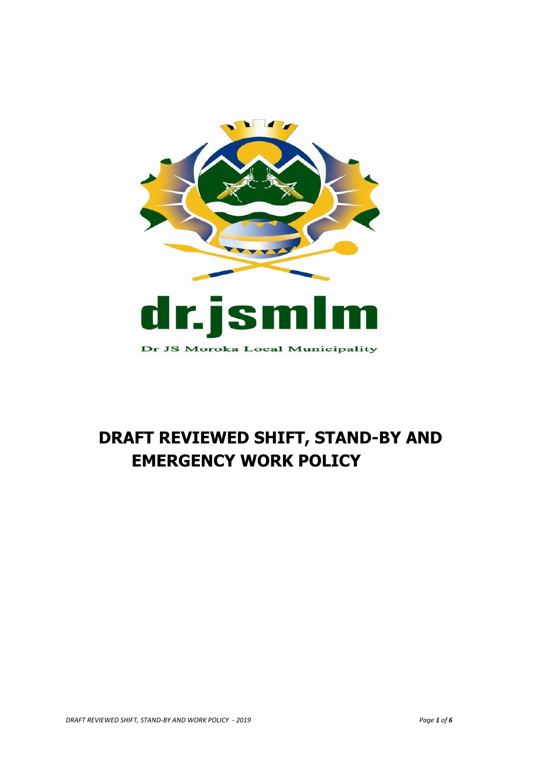

# **DRAFT REVIEWED SHIFT, STAND-BY AND EMERGENCY WORK POLICY**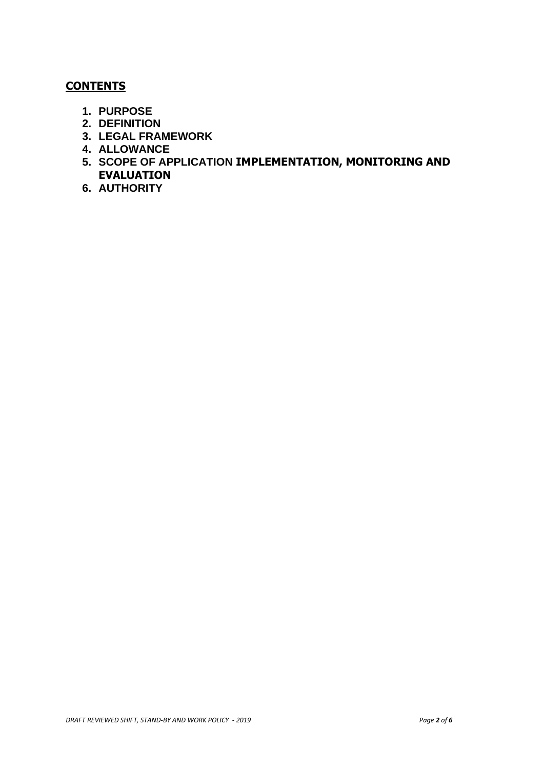## **CONTENTS**

- **1. PURPOSE**
- **2. DEFINITION**
- **3. LEGAL FRAMEWORK**
- **4. ALLOWANCE**
- **5. SCOPE OF APPLICATION IMPLEMENTATION, MONITORING AND EVALUATION**
- **6. AUTHORITY**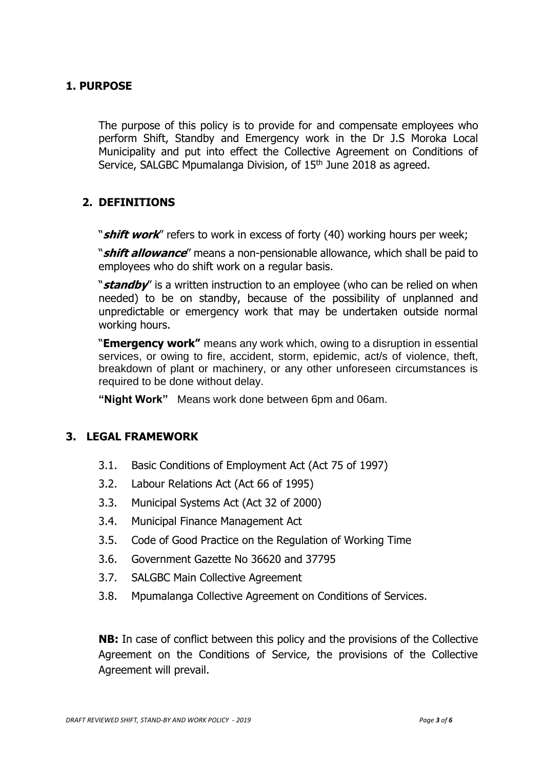# **1. PURPOSE**

The purpose of this policy is to provide for and compensate employees who perform Shift, Standby and Emergency work in the Dr J.S Moroka Local Municipality and put into effect the Collective Agreement on Conditions of Service, SALGBC Mpumalanga Division, of 15<sup>th</sup> June 2018 as agreed.

## **2. DEFINITIONS**

"**shift work**" refers to work in excess of forty (40) working hours per week;

"**shift allowance**" means a non-pensionable allowance, which shall be paid to employees who do shift work on a regular basis.

"**standby**" is a written instruction to an employee (who can be relied on when needed) to be on standby, because of the possibility of unplanned and unpredictable or emergency work that may be undertaken outside normal working hours.

"**Emergency work"** means any work which, owing to a disruption in essential services, or owing to fire, accident, storm, epidemic, act/s of violence, theft, breakdown of plant or machinery, or any other unforeseen circumstances is required to be done without delay.

**"Night Work"** Means work done between 6pm and 06am.

#### **3. LEGAL FRAMEWORK**

- 3.1. Basic Conditions of Employment Act (Act 75 of 1997)
- 3.2. Labour Relations Act (Act 66 of 1995)
- 3.3. Municipal Systems Act (Act 32 of 2000)
- 3.4. Municipal Finance Management Act
- 3.5. Code of Good Practice on the Regulation of Working Time
- 3.6. Government Gazette No 36620 and 37795
- 3.7. SALGBC Main Collective Agreement
- 3.8. Mpumalanga Collective Agreement on Conditions of Services.

**NB:** In case of conflict between this policy and the provisions of the Collective Agreement on the Conditions of Service, the provisions of the Collective Agreement will prevail.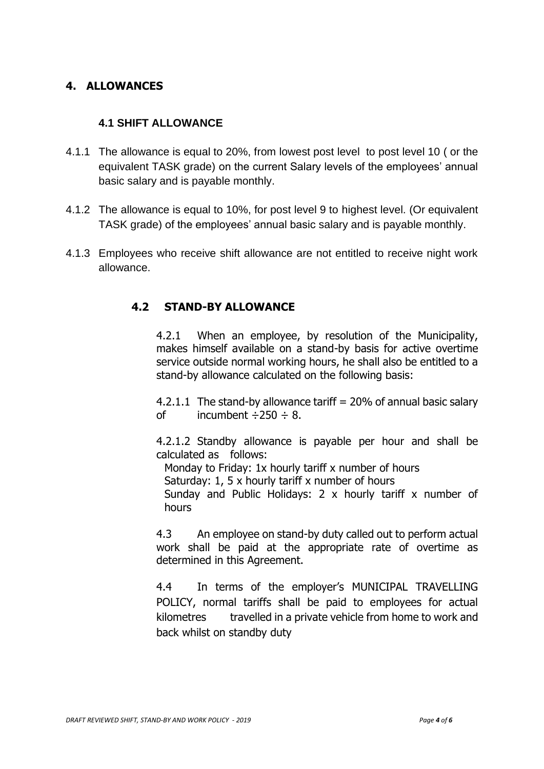# **4. ALLOWANCES**

### **4.1 SHIFT ALLOWANCE**

- 4.1.1 The allowance is equal to 20%, from lowest post level to post level 10 ( or the equivalent TASK grade) on the current Salary levels of the employees' annual basic salary and is payable monthly.
- 4.1.2 The allowance is equal to 10%, for post level 9 to highest level. (Or equivalent TASK grade) of the employees' annual basic salary and is payable monthly.
- 4.1.3 Employees who receive shift allowance are not entitled to receive night work allowance.

# **4.2 STAND-BY ALLOWANCE**

4.2.1 When an employee, by resolution of the Municipality, makes himself available on a stand-by basis for active overtime service outside normal working hours, he shall also be entitled to a stand-by allowance calculated on the following basis:

4.2.1.1 The stand-by allowance tariff  $= 20\%$  of annual basic salary of incumbent  $\div 250 \div 8$ .

4.2.1.2 Standby allowance is payable per hour and shall be calculated as follows:

Monday to Friday: 1x hourly tariff x number of hours

Saturday: 1, 5 x hourly tariff x number of hours

Sunday and Public Holidays: 2 x hourly tariff x number of hours

4.3 An employee on stand-by duty called out to perform actual work shall be paid at the appropriate rate of overtime as determined in this Agreement.

4.4 In terms of the employer's MUNICIPAL TRAVELLING POLICY, normal tariffs shall be paid to employees for actual kilometres travelled in a private vehicle from home to work and back whilst on standby duty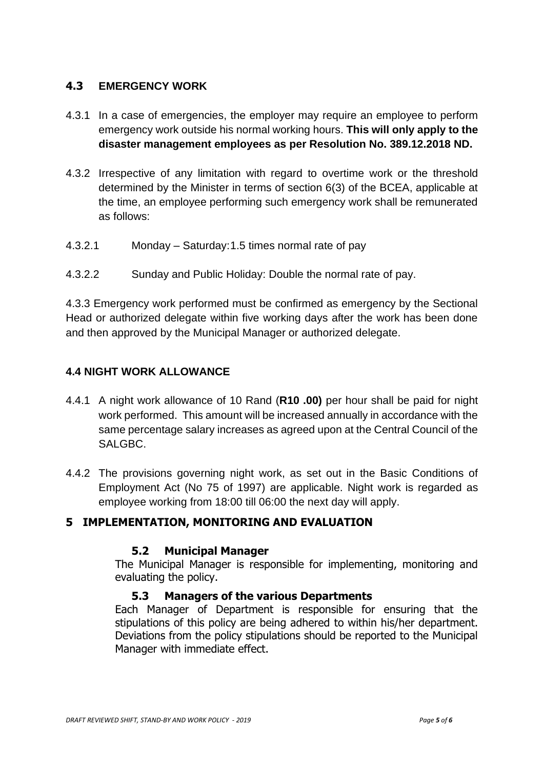# **4.3 EMERGENCY WORK**

- 4.3.1 In a case of emergencies, the employer may require an employee to perform emergency work outside his normal working hours. **This will only apply to the disaster management employees as per Resolution No. 389.12.2018 ND.**
- 4.3.2 Irrespective of any limitation with regard to overtime work or the threshold determined by the Minister in terms of section 6(3) of the BCEA, applicable at the time, an employee performing such emergency work shall be remunerated as follows:
- 4.3.2.1 Monday Saturday:1.5 times normal rate of pay
- 4.3.2.2 Sunday and Public Holiday: Double the normal rate of pay.

4.3.3 Emergency work performed must be confirmed as emergency by the Sectional Head or authorized delegate within five working days after the work has been done and then approved by the Municipal Manager or authorized delegate.

#### **4.4 NIGHT WORK ALLOWANCE**

- 4.4.1 A night work allowance of 10 Rand (**R10 .00)** per hour shall be paid for night work performed. This amount will be increased annually in accordance with the same percentage salary increases as agreed upon at the Central Council of the SALGBC.
- 4.4.2 The provisions governing night work, as set out in the Basic Conditions of Employment Act (No 75 of 1997) are applicable. Night work is regarded as employee working from 18:00 till 06:00 the next day will apply.

## **5 IMPLEMENTATION, MONITORING AND EVALUATION**

#### **5.2 Municipal Manager**

The Municipal Manager is responsible for implementing, monitoring and evaluating the policy.

#### **5.3 Managers of the various Departments**

Each Manager of Department is responsible for ensuring that the stipulations of this policy are being adhered to within his/her department. Deviations from the policy stipulations should be reported to the Municipal Manager with immediate effect.